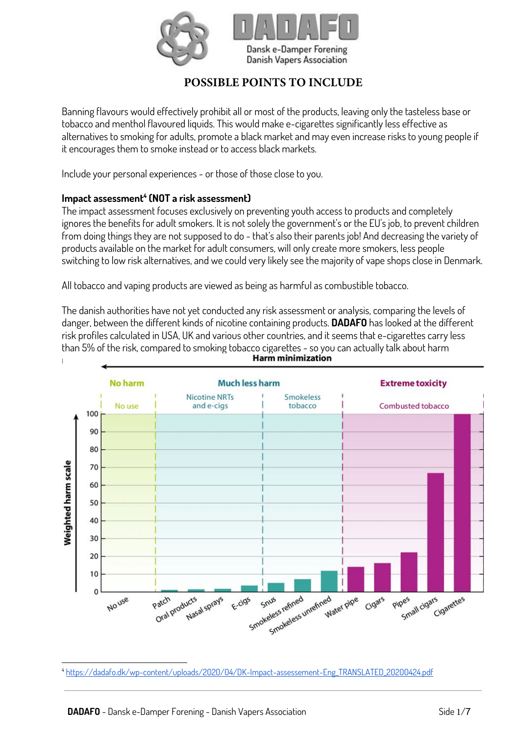

# **POSSIBLE POINTS TO INCLUDE**

Banning flavours would effectively prohibit all or most of the products, leaving only the tasteless base or tobacco and menthol flavoured liquids. This would make e-cigarettes significantly less effective as alternatives to smoking for adults, promote a black market and may even increase risks to young people if it encourages them to smoke instead or to access black markets.

Include your personal experiences - or those of those close to you.

### **Impact assessment<sup>4</sup> (NOT a risk assessment)**

The impact assessment focuses exclusively on preventing youth access to products and completely ignores the benefits for adult smokers. It is not solely the government's or the EU's job, to prevent children from doing things they are not supposed to do - that's also their parents job! And decreasing the variety of products available on the market for adult consumers, will only create more smokers, less people switching to low risk alternatives, and we could very likely see the majority of vape shops close in Denmark.

All tobacco and vaping products are viewed as being as harmful as combustible tobacco.

The danish authorities have not yet conducted any risk assessment or analysis, comparing the levels of danger, between the different kinds of nicotine containing products. **DADAFO** has looked at the different risk profiles calculated in USA, UK and various other countries, and it seems that e-cigarettes carry less than 5% of the risk, compared to smoking tobacco cigarettes - so you can actually talk about harm Harm minimization



<sup>4</sup> [https://dadafo.dk/wp-content/uploads/2020/04/DK-Impact-assessement-Eng\\_TRANSLATED\\_20200424.pdf](https://dadafo.dk/wp-content/uploads/2020/04/DK-Impact-assessement-Eng_TRANSLATED_20200424.pdf)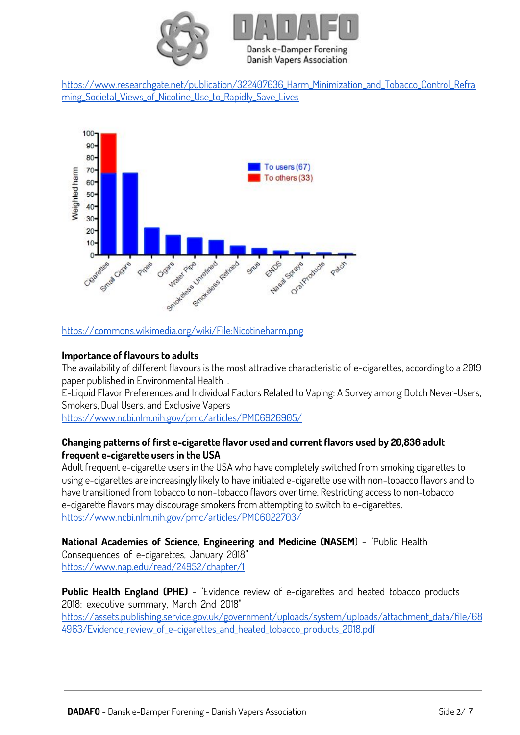

[https://www.researchgate.net/publication/322407636\\_Harm\\_Minimization\\_and\\_Tobacco\\_Control\\_Refra](https://www.researchgate.net/publication/322407636_Harm_Minimization_and_Tobacco_Control_Reframing_Societal_Views_of_Nicotine_Use_to_Rapidly_Save_Lives) ming Societal Views of Nicotine Use to Rapidly Save Lives



### <https://commons.wikimedia.org/wiki/File:Nicotineharm.png>

### **Importance of flavours to adults**

The availability of different flavours is the most attractive characteristic of e-cigarettes, according to a 2019 paper published in Environmental Health .

E-Liquid Flavor Preferences and Individual Factors Related to Vaping: A Survey among Dutch Never-Users, Smokers, Dual Users, and Exclusive Vapers

<https://www.ncbi.nlm.nih.gov/pmc/articles/PMC6926905/>

### **Changing patterns of first e-cigarette flavor used and current flavors used by 20,836 adult frequent e-cigarette users in the USA**

Adult frequent e-cigarette users in the USA who have completely switched from smoking cigarettes to using e-cigarettes are increasingly likely to have initiated e-cigarette use with non-tobacco flavors and to have transitioned from tobacco to non-tobacco flavors over time. Restricting access to non-tobacco e-cigarette flavors may discourage smokers from attempting to switch to e-cigarettes. <https://www.ncbi.nlm.nih.gov/pmc/articles/PMC6022703/>

**National Academies of Science, Engineering and Medicine (NASEM**) - "Public Health Consequences of e-cigarettes, January 2018" <https://www.nap.edu/read/24952/chapter/1>

**Public Health England (PHE)** - "Evidence review of e-cigarettes and heated tobacco products 2018: executive summary, March 2nd 2018" [https://assets.publishing.service.gov.uk/government/uploads/system/uploads/attachment\\_data/file/68](https://assets.publishing.service.gov.uk/government/uploads/system/uploads/attachment_data/file/684963/Evidence_review_of_e-cigarettes_and_heated_tobacco_products_2018.pdf) 4963/Evidence review of e-cigarettes and heated tobacco products 2018.pdf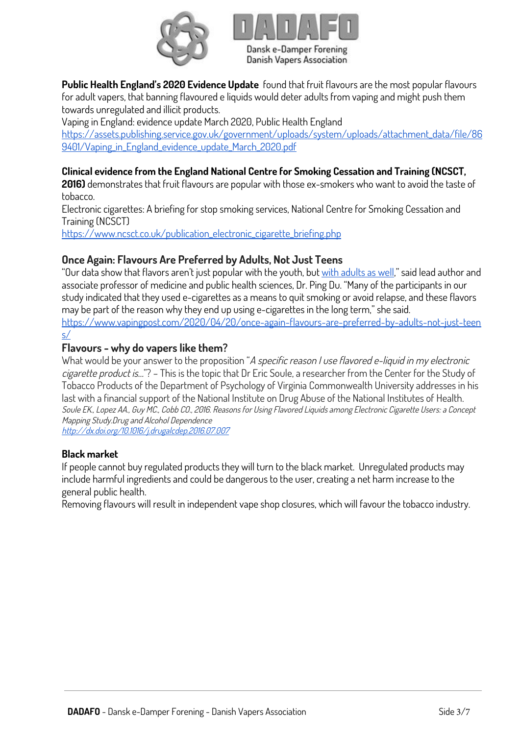



**Public Health England's 2020 Evidence Update** found that fruit flavours are the most popular flavours for adult vapers, that banning flavoured e liquids would deter adults from vaping and might push them towards unregulated and illicit products.

Vaping in England: evidence update March 2020, Public Health England [https://assets.publishing.service.gov.uk/government/uploads/system/uploads/attachment\\_data/file/86](https://assets.publishing.service.gov.uk/government/uploads/system/uploads/attachment_data/file/869401/Vaping_in_England_evidence_update_March_2020.pdf) [9401/Vaping\\_in\\_England\\_evidence\\_update\\_March\\_2020.pdf](https://assets.publishing.service.gov.uk/government/uploads/system/uploads/attachment_data/file/869401/Vaping_in_England_evidence_update_March_2020.pdf)

### **Clinical evidence from the England National Centre for Smoking Cessation and Training (NCSCT,**

**2016)** demonstrates that fruit flavours are popular with those ex-smokers who want to avoid the taste of tobacco.

Electronic cigarettes: A briefing for stop smoking services, National Centre for Smoking Cessation and Training (NCSCT)

[https://www.ncsct.co.uk/publication\\_electronic\\_cigarette\\_briefing.php](https://www.ncsct.co.uk/publication_electronic_cigarette_briefing.php)

### **Once Again: Flavours Are Preferred by Adults, Not Just Teens**

"Our data show that flavors aren't just popular with the youth, but [with adults as well,](https://www.vapingpost.com/2016/07/29/flavors-why-do-vapers-like-them/)" said lead author and associate professor of medicine and public health sciences, Dr. Ping Du. "Many of the participants in our study indicated that they used e-cigarettes as a means to quit smoking or avoid relapse, and these flavors may be part of the reason why they end up using e-cigarettes in the long term," she said. [https://www.vapingpost.com/2020/04/20/once-again-flavours-are-preferred-by-adults-not-just-teen](https://www.vapingpost.com/2020/04/20/once-again-flavours-are-preferred-by-adults-not-just-teens/) [s/](https://www.vapingpost.com/2020/04/20/once-again-flavours-are-preferred-by-adults-not-just-teens/)

## **Flavours - why do vapers like them?**

What would be your answer to the proposition "A specific reason I use flavored e-liquid in my electronic cigarette product is…"? – This is the topic that Dr Eric Soule, a researcher from the Center for the Study of Tobacco Products of the Department of Psychology of Virginia Commonwealth University addresses in his last with a financial support of the National Institute on Drug Abuse of the National Institutes of Health. Soule EK., Lopez AA., Guy MC., Cobb CO., 2016. Reasons for Using Flavored Liquids among Electronic Cigarette Users: a Concept Mapping Study.Drug and Alcohol Dependence <http://dx.doi.org/10.1016/j.drugalcdep.2016.07.007>

**Black market** 

If people cannot buy regulated products they will turn to the black market. Unregulated products may include harmful ingredients and could be dangerous to the user, creating a net harm increase to the general public health.

Removing flavours will result in independent vape shop closures, which will favour the tobacco industry.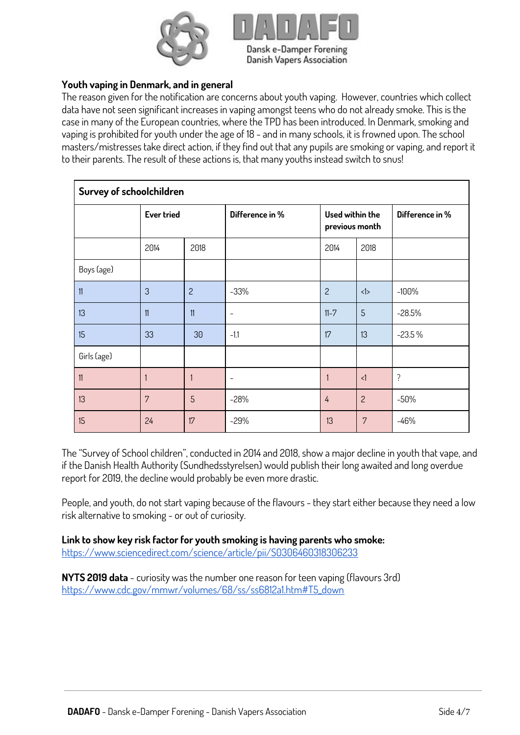



### **Youth vaping in Denmark, and in general**

The reason given for the notification are concerns about youth vaping. However, countries which collect data have not seen significant increases in vaping amongst teens who do not already smoke. This is the case in many of the European countries, where the TPD has been introduced. In Denmark, smoking and vaping is prohibited for youth under the age of 18 - and in many schools, it is frowned upon. The school masters/mistresses take direct action, if they find out that any pupils are smoking or vaping, and report it to their parents. The result of these actions is, that many youths instead switch to snus!

| Survey of schoolchildren |                   |                |                          |                                   |                |                 |
|--------------------------|-------------------|----------------|--------------------------|-----------------------------------|----------------|-----------------|
|                          | <b>Ever tried</b> |                | Difference in %          | Used within the<br>previous month |                | Difference in % |
|                          | 2014              | 2018           |                          | 2014                              | 2018           |                 |
| Boys (age)               |                   |                |                          |                                   |                |                 |
| 11                       | 3                 | $\overline{c}$ | $-33%$                   | $\overline{c}$                    | <1>            | $-100%$         |
| 13                       | 11                | 11             | $\overline{\phantom{a}}$ | $11 - 7$                          | $\overline{5}$ | $-28.5%$        |
| 15                       | 33                | 30             | $-1.1$                   | 17                                | 13             | $-23.5%$        |
| Girls (age)              |                   |                |                          |                                   |                |                 |
| 11                       |                   | 1              |                          |                                   | $\leq$         | $\tilde{?}$     |
| 13                       | 7                 | 5              | $-28%$                   | 4                                 | $\overline{c}$ | $-50%$          |
| 15                       | 24                | 17             | $-29%$                   | 13                                | $\overline{7}$ | $-46%$          |

The "Survey of School children", conducted in 2014 and 2018, show a major decline in youth that vape, and if the Danish Health Authority (Sundhedsstyrelsen) would publish their long awaited and long overdue report for 2019, the decline would probably be even more drastic.

People, and youth, do not start vaping because of the flavours - they start either because they need a low risk alternative to smoking - or out of curiosity.

**Link to show key risk factor for youth smoking is having parents who smoke:** 

<https://www.sciencedirect.com/science/article/pii/S0306460318306233>

**NYTS 2019 data** - curiosity was the number one reason for teen vaping (flavours 3rd) [https://www.cdc.gov/mmwr/volumes/68/ss/ss6812a1.htm#T5\\_down](https://www.cdc.gov/mmwr/volumes/68/ss/ss6812a1.htm#T5_down)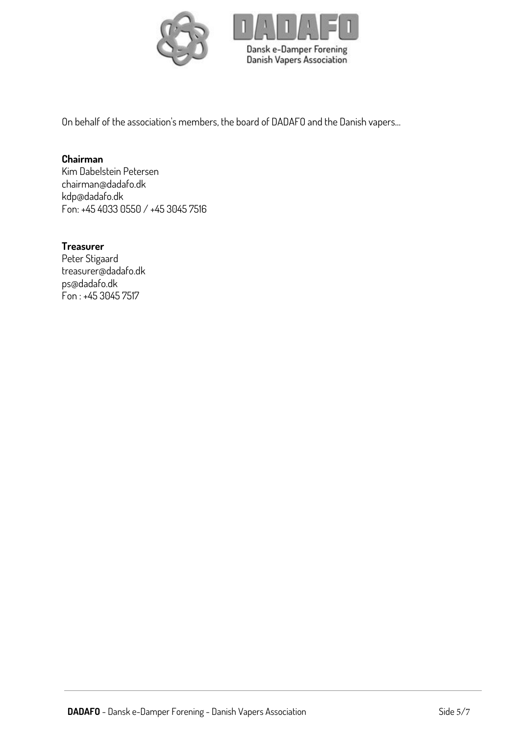

On behalf of the association's members, the board of DADAFO and the Danish vapers…

### **Chairman**

Kim Dabelstein Petersen chairman@dadafo.dk kdp@dadafo.dk Fon: +45 4033 0550 / +45 3045 7516

### **Treasurer**

Peter Stigaard treasurer@dadafo.dk ps@dadafo.dk Fon : +45 3045 7517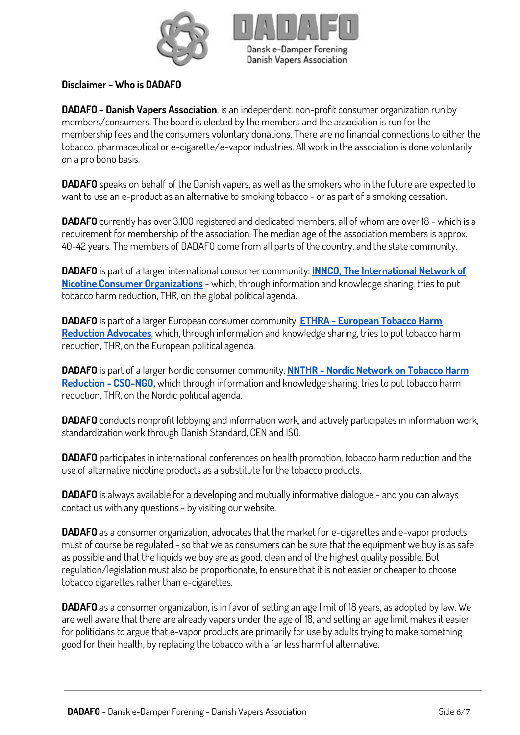



### **Disclaimer - Who is DADAFO**

**DADAFO - Danish Vapers Association**, is an independent, non-profit consumer organization run by members/consumers. The board is elected by the members and the association is run for the membership fees and the consumers voluntary donations. There are no financial connections to either the tobacco, pharmaceutical or e-cigarette/e-vapor industries. All work in the association is done voluntarily on a pro bono basis.

**DADAFO** speaks on behalf of the Danish vapers, as well as the smokers who in the future are expected to want to use an e-product as an alternative to smoking tobacco - or as part of a smoking cessation.

**DADAFO** currently has over 3.100 registered and dedicated members, all of whom are over 18 - which is a requirement for membership of the association. The median age of the association members is approx. 40-42 years. The members of DADAFO come from all parts of the country, and the state community.

**DADAFO** is part of a larger international consumer community; **[INNCO, The International Network of](https://innco.org/)  [Nicotine Consumer Organizations](https://innco.org/)** - which, through information and knowledge sharing, tries to put tobacco harm reduction, THR, on the global political agenda.

**DADAFO** is part of a larger European consumer community, **[ETHRA - European Tobacco Harm](https://www.ethra.co/)  [Reduction Advocates](https://www.ethra.co/)**, which, through information and knowledge sharing, tries to put tobacco harm reduction, THR, on the European political agenda.

**DADAFO** is part of a larger Nordic consumer community, **[NNTHR - Nordic Network on Tobacco Harm](https://www.facebook.com/groups/1673998382649999/)  [Reduction - CSO-NGO,](https://www.facebook.com/groups/1673998382649999/)** which through information and knowledge sharing, tries to put tobacco harm reduction, THR, on the Nordic political agenda.

**DADAFO** conducts nonprofit lobbying and information work, and actively participates in information work, standardization work through Danish Standard, CEN and ISO.

**DADAFO** participates in international conferences on health promotion, tobacco harm reduction and the use of alternative nicotine products as a substitute for the tobacco products.

**DADAFO** is always available for a developing and mutually informative dialogue - and you can always contact us with any questions - by visiting our website.

**DADAFO** as a consumer organization, advocates that the market for e-cigarettes and e-vapor products must of course be regulated - so that we as consumers can be sure that the equipment we buy is as safe as possible and that the liquids we buy are as good, clean and of the highest quality possible. But regulation/legislation must also be proportionate, to ensure that it is not easier or cheaper to choose tobacco cigarettes rather than e-cigarettes.

**DADAFO** as a consumer organization, is in favor of setting an age limit of 18 years, as adopted by law. We are well aware that there are already vapers under the age of 18, and setting an age limit makes it easier for politicians to argue that e-vapor products are primarily for use by adults trying to make something good for their health, by replacing the tobacco with a far less harmful alternative.